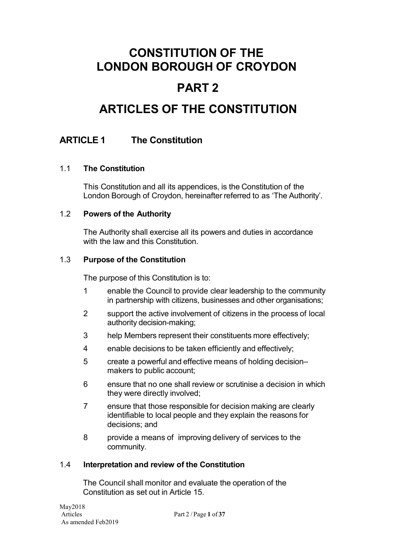# **PART 2**

# **ARTICLES OF THE CONSTITUTION**

### **ARTICLE 1 The Constitution**

### 1.1 **The Constitution**

This Constitution and all its appendices, is the Constitution of the London Borough of Croydon, hereinafter referred to as 'The Authority'.

### 1.2 **Powers of the Authority**

The Authority shall exercise all its powers and duties in accordance with the law and this Constitution.

### 1.3 **Purpose of the Constitution**

The purpose of this Constitution is to:

- 1 enable the Council to provide clear leadership to the community in partnership with citizens, businesses and other organisations;
- 2 support the active involvement of citizens in the process of local authority decision-making;
- 3 help Members represent their constituents more effectively;
- 4 enable decisions to be taken efficiently and effectively;
- 5 create a powerful and effective means of holding decision– makers to public account;
- 6 ensure that no one shall review or scrutinise a decision in which they were directly involved;
- 7 ensure that those responsible for decision making are clearly identifiable to local people and they explain the reasons for decisions; and
- 8 provide a means of improving delivery of services to the community.

### 1.4 **Interpretation and review of the Constitution**

The Council shall monitor and evaluate the operation of the Constitution as set out in Article 15.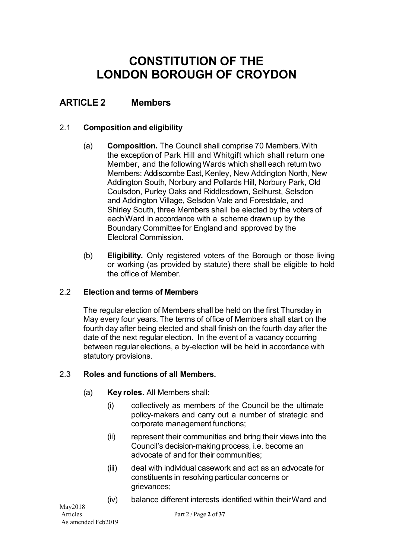### **ARTICLE 2 Members**

### 2.1 **Composition and eligibility**

- (a) **Composition.** The Council shall comprise 70 Members.With the exception of Park Hill and Whitgift which shall return one Member, and the following Wards which shall each return two Members: Addiscombe East, Kenley, New Addington North, New Addington South, Norbury and Pollards Hill, Norbury Park, Old Coulsdon, Purley Oaks and Riddlesdown, Selhurst, Selsdon and Addington Village, Selsdon Vale and Forestdale, and Shirley South, three Members shall be elected by the voters of eachWard in accordance with a scheme drawn up by the Boundary Committee for England and approved by the Electoral Commission.
- (b) **Eligibility.** Only registered voters of the Borough or those living or working (as provided by statute) there shall be eligible to hold the office of Member.

### 2.2 **Election and terms of Members**

The regular election of Members shall be held on the first Thursday in May every four years. The terms of office of Members shall start on the fourth day after being elected and shall finish on the fourth day after the date of the next regular election. In the event of a vacancy occurring between regular elections, a by-election will be held in accordance with statutory provisions.

### 2.3 **Roles and functions of all Members.**

- (a) **Key roles.** All Members shall:
	- (i) collectively as members of the Council be the ultimate policy-makers and carry out a number of strategic and corporate management functions;
	- (ii) represent their communities and bring their views into the Council's decision-making process, i.e. become an advocate of and for their communities;
	- (iii) deal with individual casework and act as an advocate for constituents in resolving particular concerns or grievances;
	- (iv) balance different interests identified within theirWard and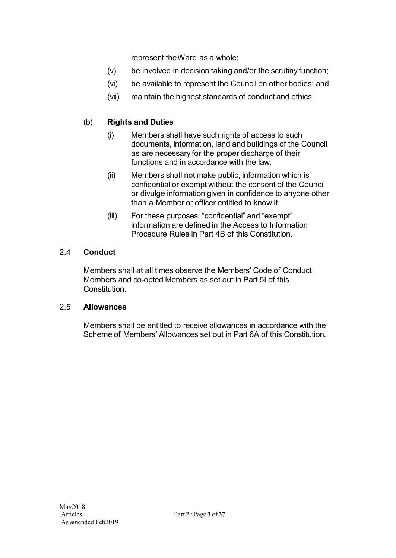represent theWard as a whole;

- (v) be involved in decision taking and/or the scrutiny function;
- (vi) be available to represent the Council on other bodies; and
- (vii) maintain the highest standards of conduct and ethics.

### (b) **Rights and Duties**

- (i) Members shall have such rights of access to such documents, information, land and buildings of the Council as are necessary for the proper discharge of their functions and in accordance with the law.
- (ii) Members shall not make public, information which is confidential or exempt without the consent of the Council or divulge information given in confidence to anyone other than a Member or officer entitled to know it.
- (iii) For these purposes, "confidential" and "exempt" information are defined in the Access to Information Procedure Rules in Part 4B of this Constitution.

### 2.4 **Conduct**

Members shall at all times observe the Members' Code of Conduct Members and co-opted Members as set out in Part 5I of this Constitution.

### 2.5 **Allowances**

Members shall be entitled to receive allowances in accordance with the Scheme of Members' Allowances set out in Part 6A of this Constitution.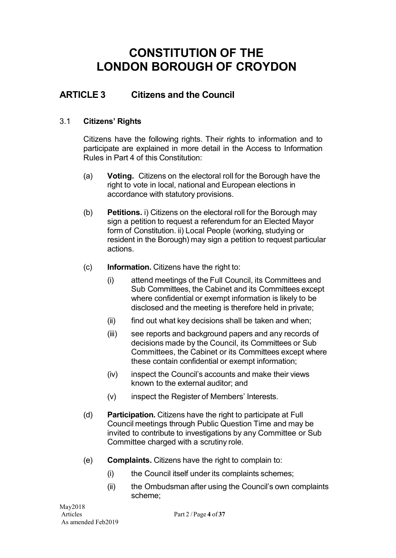### **ARTICLE 3 Citizens and the Council**

### 3.1 **Citizens' Rights**

Citizens have the following rights. Their rights to information and to participate are explained in more detail in the Access to Information Rules in Part 4 of this Constitution:

- (a) **Voting.** Citizens on the electoral roll for the Borough have the right to vote in local, national and European elections in accordance with statutory provisions.
- (b) **Petitions.** i) Citizens on the electoral roll for the Borough may sign a petition to request a referendum for an Elected Mayor form of Constitution. ii) Local People (working, studying or resident in the Borough) may sign a petition to request particular actions.
- (c) **Information.** Citizens have the right to:
	- (i) attend meetings of the Full Council, its Committees and Sub Committees, the Cabinet and its Committees except where confidential or exempt information is likely to be disclosed and the meeting is therefore held in private;
	- $(ii)$  find out what key decisions shall be taken and when;
	- (iii) see reports and background papers and any records of decisions made by the Council, its Committees or Sub Committees, the Cabinet or its Committees except where these contain confidential or exempt information;
	- (iv) inspect the Council's accounts and make their views known to the external auditor; and
	- (v) inspect the Register of Members' Interests.
- (d) **Participation.** Citizens have the right to participate at Full Council meetings through Public Question Time and may be invited to contribute to investigations by any Committee or Sub Committee charged with a scrutiny role.
- (e) **Complaints.** Citizens have the right to complain to:
	- (i) the Council itself under its complaints schemes;
	- (ii) the Ombudsman after using the Council's own complaints scheme;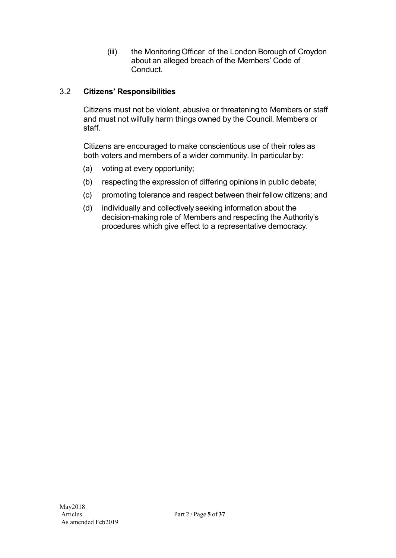(iii) the Monitoring Officer of the London Borough of Croydon about an alleged breach of the Members' Code of Conduct.

### 3.2 **Citizens' Responsibilities**

Citizens must not be violent, abusive or threatening to Members or staff and must not wilfully harm things owned by the Council, Members or staff.

Citizens are encouraged to make conscientious use of their roles as both voters and members of a wider community. In particular by:

- (a) voting at every opportunity;
- (b) respecting the expression of differing opinions in public debate;
- (c) promoting tolerance and respect between their fellow citizens; and
- (d) individually and collectively seeking information about the decision-making role of Members and respecting the Authority's procedures which give effect to a representative democracy.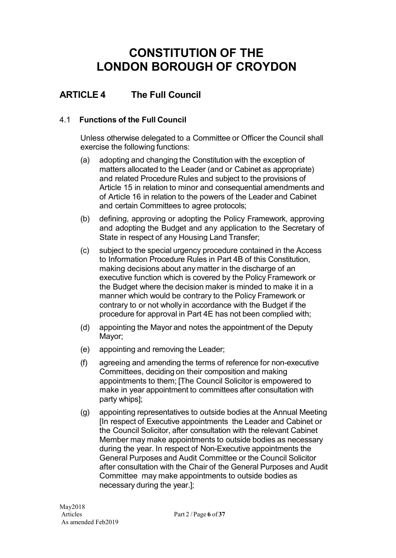## **ARTICLE 4 The Full Council**

### 4.1 **Functions of the Full Council**

Unless otherwise delegated to a Committee or Officer the Council shall exercise the following functions:

- (a) adopting and changing the Constitution with the exception of matters allocated to the Leader (and or Cabinet as appropriate) and related Procedure Rules and subject to the provisions of Article 15 in relation to minor and consequential amendments and of Article 16 in relation to the powers of the Leader and Cabinet and certain Committees to agree protocols;
- (b) defining, approving or adopting the Policy Framework, approving and adopting the Budget and any application to the Secretary of State in respect of any Housing Land Transfer;
- (c) subject to the special urgency procedure contained in the Access to Information Procedure Rules in Part 4B of this Constitution, making decisions about any matter in the discharge of an executive function which is covered by the Policy Framework or the Budget where the decision maker is minded to make it in a manner which would be contrary to the Policy Framework or contrary to or not wholly in accordance with the Budget if the procedure for approval in Part 4E has not been complied with;
- (d) appointing the Mayor and notes the appointment of the Deputy Mayor;
- (e) appointing and removing the Leader;
- (f) agreeing and amending the terms of reference for non-executive Committees, deciding on their composition and making appointments to them; [The Council Solicitor is empowered to make in year appointment to committees after consultation with party whips];
- (g) appointing representatives to outside bodies at the Annual Meeting [In respect of Executive appointments the Leader and Cabinet or the Council Solicitor, after consultation with the relevant Cabinet Member may make appointments to outside bodies as necessary during the year. In respect of Non-Executive appointments the General Purposes and Audit Committee or the Council Solicitor after consultation with the Chair of the General Purposes and Audit Committee may make appointments to outside bodies as necessary during the year.];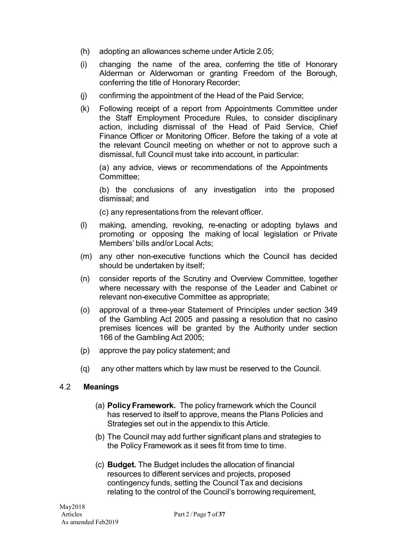- (h) adopting an allowances scheme under Article 2.05;
- (i) changing the name of the area, conferring the title of Honorary Alderman or Alderwoman or granting Freedom of the Borough, conferring the title of Honorary Recorder;
- (j) confirming the appointment of the Head of the Paid Service;
- (k) Following receipt of a report from Appointments Committee under the Staff Employment Procedure Rules, to consider disciplinary action, including dismissal of the Head of Paid Service, Chief Finance Officer or Monitoring Officer. Before the taking of a vote at the relevant Council meeting on whether or not to approve such a dismissal, full Council must take into account, in particular:

(a) any advice, views or recommendations of the Appointments Committee;

(b) the conclusions of any investigation into the proposed dismissal; and

(c) any representations from the relevant officer.

- (l) making, amending, revoking, re-enacting or adopting bylaws and promoting or opposing the making of local legislation or Private Members' bills and/or Local Acts;
- (m) any other non-executive functions which the Council has decided should be undertaken by itself;
- (n) consider reports of the Scrutiny and Overview Committee, together where necessary with the response of the Leader and Cabinet or relevant non-executive Committee as appropriate;
- (o) approval of a three-year Statement of Principles under section 349 of the Gambling Act 2005 and passing a resolution that no casino premises licences will be granted by the Authority under section 166 of the Gambling Act 2005;
- (p) approve the pay policy statement; and
- (q) any other matters which by law must be reserved to the Council.

### 4.2 **Meanings**

- (a) **PolicyFramework.** The policy framework which the Council has reserved to itself to approve, means the Plans Policies and Strategies set out in the appendix to this Article.
- (b) The Council may add further significant plans and strategies to the Policy Framework as it sees fit from time to time.
- (c) **Budget.** The Budget includes the allocation of financial resources to different services and projects, proposed contingency funds, setting the Council Tax and decisions relating to the control of the Council's borrowing requirement,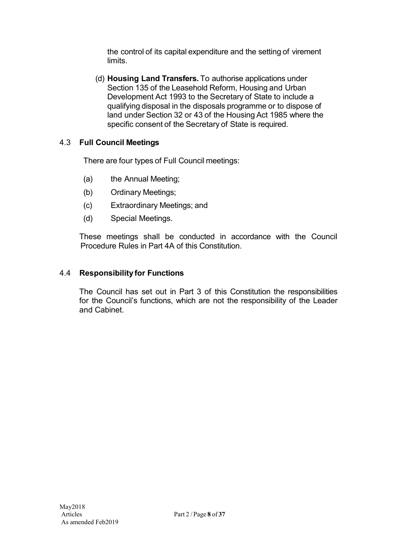the control of its capital expenditure and the setting of virement limits.

(d) **Housing Land Transfers.** To authorise applications under Section 135 of the Leasehold Reform, Housing and Urban Development Act 1993 to the Secretary of State to include a qualifying disposal in the disposals programme or to dispose of land under Section 32 or 43 of the Housing Act 1985 where the specific consent of the Secretary of State is required.

### 4.3 **Full Council Meetings**

There are four types of Full Council meetings:

- (a) the Annual Meeting;
- (b) Ordinary Meetings;
- (c) Extraordinary Meetings; and
- (d) Special Meetings.

These meetings shall be conducted in accordance with the Council Procedure Rules in Part 4A of this Constitution.

### 4.4 **Responsibility for Functions**

The Council has set out in Part 3 of this Constitution the responsibilities for the Council's functions, which are not the responsibility of the Leader and Cabinet.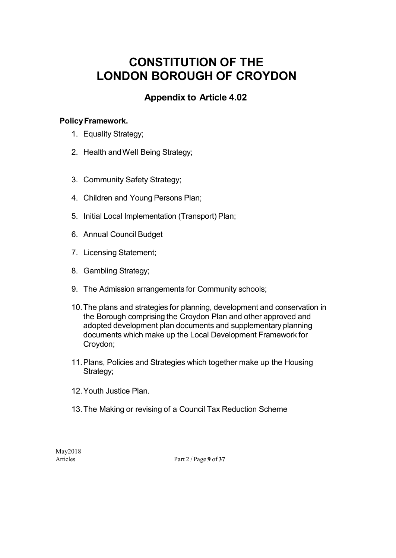### **Appendix to Article 4.02**

### **PolicyFramework.**

- 1. Equality Strategy;
- 2. Health andWell Being Strategy;
- 3. Community Safety Strategy;
- 4. Children and Young Persons Plan;
- 5. Initial Local Implementation (Transport) Plan;
- 6. Annual Council Budget
- 7. Licensing Statement;
- 8. Gambling Strategy;
- 9. The Admission arrangements for Community schools;
- 10.The plans and strategies for planning, development and conservation in the Borough comprising the Croydon Plan and other approved and adopted development plan documents and supplementary planning documents which make up the Local Development Framework for Croydon;
- 11.Plans, Policies and Strategies which together make up the Housing Strategy;
- 12.Youth Justice Plan.
- 13.The Making or revising of a Council Tax Reduction Scheme

May2018

Articles Part 2 / Page **9** of **37**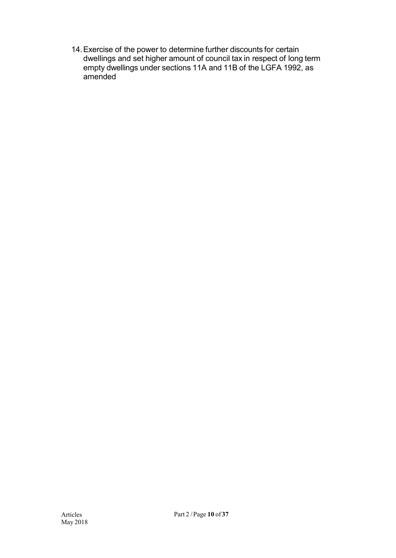14.Exercise of the power to determine further discounts for certain dwellings and set higher amount of council tax in respect of long term empty dwellings under sections 11A and 11B of the LGFA 1992, as amended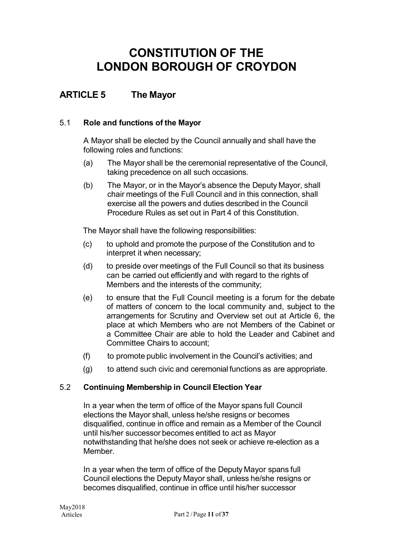### **ARTICLE 5 The Mayor**

### 5.1 **Role and functions of the Mayor**

A Mayor shall be elected by the Council annually and shall have the following roles and functions:

- (a) The Mayor shall be the ceremonial representative of the Council, taking precedence on all such occasions.
- (b) The Mayor, or in the Mayor's absence the Deputy Mayor, shall chair meetings of the Full Council and in this connection, shall exercise all the powers and duties described in the Council Procedure Rules as set out in Part 4 of this Constitution.

The Mayor shall have the following responsibilities:

- (c) to uphold and promote the purpose of the Constitution and to interpret it when necessary;
- (d) to preside over meetings of the Full Council so that its business can be carried out efficiently and with regard to the rights of Members and the interests of the community;
- (e) to ensure that the Full Council meeting is a forum for the debate of matters of concern to the local community and, subject to the arrangements for Scrutiny and Overview set out at Article 6, the place at which Members who are not Members of the Cabinet or a Committee Chair are able to hold the Leader and Cabinet and Committee Chairs to account;
- (f) to promote public involvement in the Council's activities; and
- (g) to attend such civic and ceremonial functions as are appropriate.

### 5.2 **Continuing Membership in Council Election Year**

In a year when the term of office of the Mayor spans full Council elections the Mayor shall, unless he/she resigns or becomes disqualified, continue in office and remain as a Member of the Council until his/her successor becomes entitled to act as Mayor notwithstanding that he/she does not seek or achieve re-election as a Member.

In a year when the term of office of the Deputy Mayor spans full Council elections the Deputy Mayor shall, unless he/she resigns or becomes disqualified, continue in office until his/her successor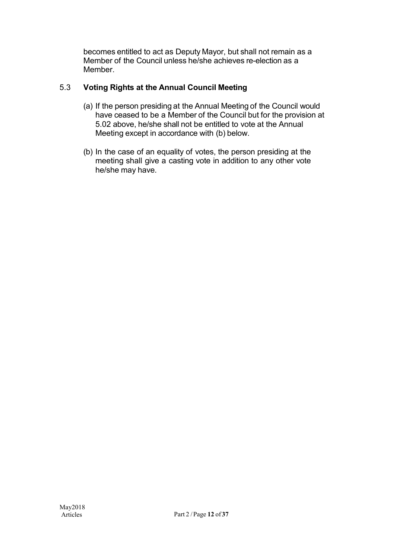becomes entitled to act as Deputy Mayor, but shall not remain as a Member of the Council unless he/she achieves re-election as a Member.

### 5.3 **Voting Rights at the Annual Council Meeting**

- (a) If the person presiding at the Annual Meeting of the Council would have ceased to be a Member of the Council but for the provision at 5.02 above, he/she shall not be entitled to vote at the Annual Meeting except in accordance with (b) below.
- (b) In the case of an equality of votes, the person presiding at the meeting shall give a casting vote in addition to any other vote he/she may have.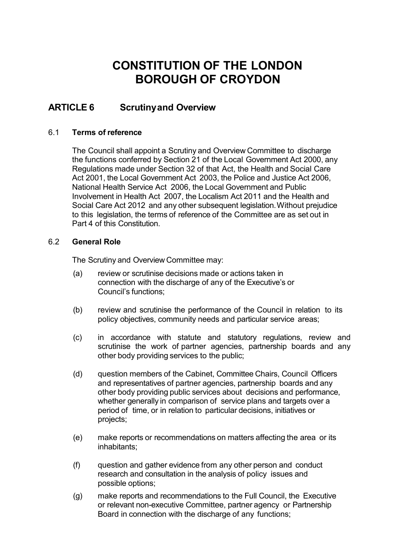### **ARTICLE 6 Scrutinyand Overview**

### 6.1 **Terms of reference**

The Council shall appoint a Scrutiny and Overview Committee to discharge the functions conferred by Section 21 of the Local Government Act 2000, any Regulations made under Section 32 of that Act, the Health and Social Care Act 2001, the Local Government Act 2003, the Police and Justice Act 2006, National Health Service Act 2006, the Local Government and Public Involvement in Health Act 2007, the Localism Act 2011 and the Health and Social Care Act 2012 and any other subsequent legislation.Without prejudice to this legislation, the terms of reference of the Committee are as set out in Part 4 of this Constitution.

#### 6.2 **General Role**

The Scrutiny and Overview Committee may:

- (a) review or scrutinise decisions made or actions taken in connection with the discharge of any of the Executive's or Council's functions;
- (b) review and scrutinise the performance of the Council in relation to its policy objectives, community needs and particular service areas;
- (c) in accordance with statute and statutory regulations, review and scrutinise the work of partner agencies, partnership boards and any other body providing services to the public;
- (d) question members of the Cabinet, Committee Chairs, Council Officers and representatives of partner agencies, partnership boards and any other body providing public services about decisions and performance, whether generally in comparison of service plans and targets over a period of time, or in relation to particular decisions, initiatives or projects;
- (e) make reports or recommendations on matters affecting the area or its inhabitants;
- (f) question and gather evidence from any other person and conduct research and consultation in the analysis of policy issues and possible options;
- (g) make reports and recommendations to the Full Council, the Executive or relevant non-executive Committee, partner agency or Partnership Board in connection with the discharge of any functions;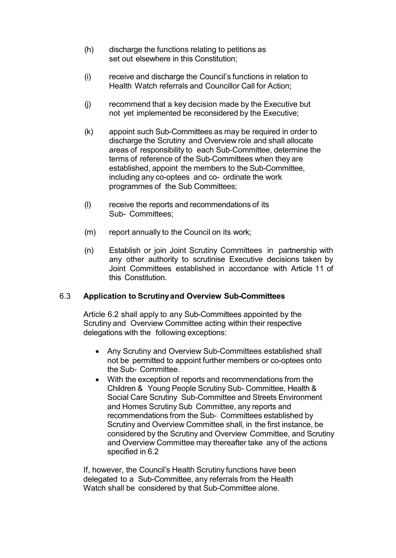- (h) discharge the functions relating to petitions as set out elsewhere in this Constitution;
- (i) receive and discharge the Council's functions in relation to Health Watch referrals and Councillor Call for Action;
- (j) recommend that a key decision made by the Executive but not yet implemented be reconsidered by the Executive;
- (k) appoint such Sub-Committees as may be required in order to discharge the Scrutiny and Overview role and shall allocate areas of responsibility to each Sub-Committee, determine the terms of reference of the Sub-Committees when they are established, appoint the members to the Sub-Committee, including any co-optees and co- ordinate the work programmes of the Sub Committees;
- (l) receive the reports and recommendations of its Sub- Committees;
- (m) report annually to the Council on its work;
- (n) Establish or join Joint Scrutiny Committees in partnership with any other authority to scrutinise Executive decisions taken by Joint Committees established in accordance with Article 11 of this Constitution.

### 6.3 **Application to Scrutinyand Overview Sub-Committees**

Article 6.2 shall apply to any Sub-Committees appointed by the Scrutiny and Overview Committee acting within their respective delegations with the following exceptions:

- Any Scrutiny and Overview Sub-Committees established shall not be permitted to appoint further members or co-optees onto the Sub- Committee.
- With the exception of reports and recommendations from the Children & Young People Scrutiny Sub- Committee, Health & Social Care Scrutiny Sub-Committee and Streets Environment and Homes Scrutiny Sub Committee, any reports and recommendations from the Sub- Committees established by Scrutiny and Overview Committee shall, in the first instance, be considered by the Scrutiny and Overview Committee, and Scrutiny and Overview Committee may thereafter take any of the actions specified in 6.2

If, however, the Council's Health Scrutiny functions have been delegated to a Sub-Committee, any referrals from the Health Watch shall be considered by that Sub-Committee alone.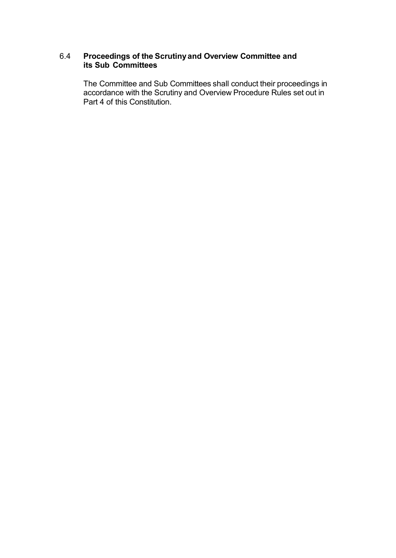### 6.4 **Proceedings of the Scrutinyand Overview Committee and its Sub Committees**

The Committee and Sub Committees shall conduct their proceedings in accordance with the Scrutiny and Overview Procedure Rules set out in Part 4 of this Constitution.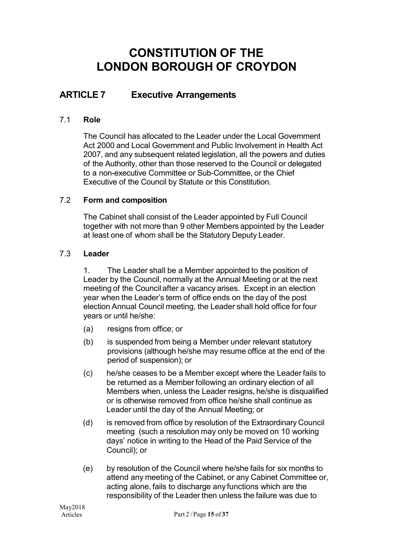### **ARTICLE 7 Executive Arrangements**

### 7.1 **Role**

The Council has allocated to the Leader under the Local Government Act 2000 and Local Government and Public Involvement in Health Act 2007, and any subsequent related legislation, all the powers and duties of the Authority, other than those reserved to the Council or delegated to a non-executive Committee or Sub-Committee, or the Chief Executive of the Council by Statute or this Constitution.

### 7.2 **Form and composition**

The Cabinet shall consist of the Leader appointed by Full Council together with not more than 9 other Members appointed by the Leader at least one of whom shall be the Statutory Deputy Leader.

### 7.3 **Leader**

1. The Leader shall be a Member appointed to the position of Leader by the Council, normally at the Annual Meeting or at the next meeting of the Council after a vacancy arises. Except in an election year when the Leader's term of office ends on the day of the post election Annual Council meeting, the Leader shall hold office for four years or until he/she:

- (a) resigns from office; or
- (b) is suspended from being a Member under relevant statutory provisions (although he/she may resume office at the end of the period of suspension); or
- (c) he/she ceases to be a Member except where the Leader fails to be returned as a Member following an ordinary election of all Members when, unless the Leader resigns, he/she is disqualified or is otherwise removed from office he/she shall continue as Leader until the day of the Annual Meeting; or
- (d) is removed from office by resolution of the Extraordinary Council meeting (such a resolution may only be moved on 10 working days' notice in writing to the Head of the Paid Service of the Council); or
- (e) by resolution of the Council where he/she fails for six months to attend any meeting of the Cabinet, or any Cabinet Committee or, acting alone, fails to discharge any functions which are the responsibility of the Leader then unless the failure was due to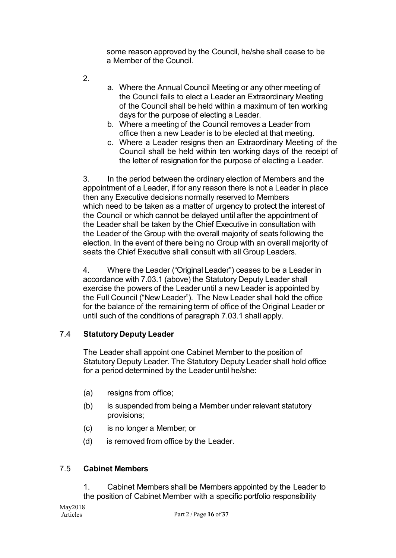some reason approved by the Council, he/she shall cease to be a Member of the Council.

2.

- a. Where the Annual Council Meeting or any other meeting of the Council fails to elect a Leader an Extraordinary Meeting of the Council shall be held within a maximum of ten working days for the purpose of electing a Leader.
- b. Where a meeting of the Council removes a Leader from office then a new Leader is to be elected at that meeting.
- c. Where a Leader resigns then an Extraordinary Meeting of the Council shall be held within ten working days of the receipt of the letter of resignation for the purpose of electing a Leader.

3. In the period between the ordinary election of Members and the appointment of a Leader, if for any reason there is not a Leader in place then any Executive decisions normally reserved to Members which need to be taken as a matter of urgency to protect the interest of the Council or which cannot be delayed until after the appointment of the Leader shall be taken by the Chief Executive in consultation with the Leader of the Group with the overall majority of seats following the election. In the event of there being no Group with an overall majority of seats the Chief Executive shall consult with all Group Leaders.

4. Where the Leader ("Original Leader") ceases to be a Leader in accordance with 7.03.1 (above) the Statutory Deputy Leader shall exercise the powers of the Leader until a new Leader is appointed by the Full Council ("New Leader"). The New Leader shall hold the office for the balance of the remaining term of office of the Original Leader or until such of the conditions of paragraph 7.03.1 shall apply.

### 7.4 **Statutory Deputy Leader**

The Leader shall appoint one Cabinet Member to the position of Statutory Deputy Leader. The Statutory Deputy Leader shall hold office for a period determined by the Leader until he/she:

- (a) resigns from office;
- (b) is suspended from being a Member under relevant statutory provisions;
- (c) is no longer a Member; or
- (d) is removed from office by the Leader.

### 7.5 **Cabinet Members**

1. Cabinet Members shall be Members appointed by the Leader to the position of Cabinet Member with a specific portfolio responsibility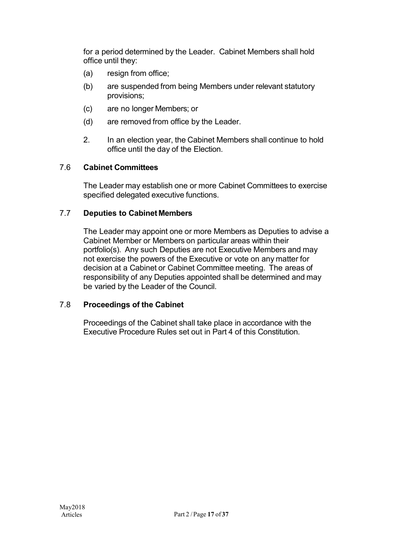for a period determined by the Leader. Cabinet Members shall hold office until they:

- (a) resign from office;
- (b) are suspended from being Members under relevant statutory provisions;
- (c) are no longer Members; or
- (d) are removed from office by the Leader.
- 2. In an election year, the Cabinet Members shall continue to hold office until the day of the Election.

### 7.6 **Cabinet Committees**

The Leader may establish one or more Cabinet Committees to exercise specified delegated executive functions.

### 7.7 **Deputies to Cabinet Members**

The Leader may appoint one or more Members as Deputies to advise a Cabinet Member or Members on particular areas within their portfolio(s). Any such Deputies are not Executive Members and may not exercise the powers of the Executive or vote on any matter for decision at a Cabinet or Cabinet Committee meeting. The areas of responsibility of any Deputies appointed shall be determined and may be varied by the Leader of the Council.

#### 7.8 **Proceedings of the Cabinet**

Proceedings of the Cabinet shall take place in accordance with the Executive Procedure Rules set out in Part 4 of this Constitution.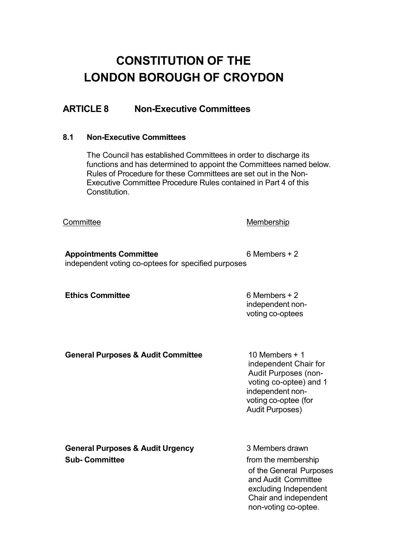### **ARTICLE 8 Non-Executive Committees**

#### **8.1 Non-Executive Committees**

The Council has established Committees in order to discharge its functions and has determined to appoint the Committees named below. Rules of Procedure for these Committees are set out in the Non-Executive Committee Procedure Rules contained in Part 4 of this Constitution.

Committee Membership

**Appointments Committee** 6 Members + 2 independent voting co-optees for specified purposes

**Ethics Committee** 6 Members + 2

independent nonvoting co-optees

#### **General Purposes & Audit Committee** 10 Members + 1

independent Chair for Audit Purposes (nonvoting co-optee) and 1 independent nonvoting co-optee (for Audit Purposes)

| <b>General Purposes &amp; Audit Urgency</b> | 3 Members drawn         |  |  |
|---------------------------------------------|-------------------------|--|--|
| <b>Sub-Committee</b>                        | from the membership     |  |  |
|                                             | of the General Purposes |  |  |

of the General Purposes and Audit Committee excluding Independent Chair and independent non-voting co-optee.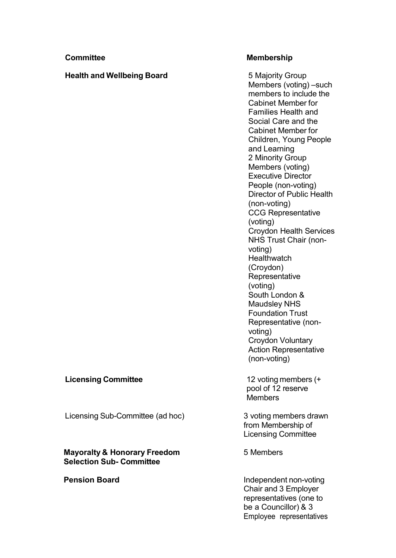#### **Health and Wellbeing Board** 5 Majority Group

#### **Committee Membership**

Members (voting) –such members to include the Cabinet Member for Families Health and Social Care and the Cabinet Member for Children, Young People and Learning 2 Minority Group Members (voting) Executive Director People (non-voting) Director of Public Health (non-voting) CCG Representative (voting) Croydon Health Services NHS Trust Chair (nonvoting) **Healthwatch** (Croydon) **Representative** (voting) South London & Maudsley NHS Foundation Trust Representative (nonvoting) Croydon Voluntary Action Representative (non-voting)

#### **Licensing Committee** 12 voting members (+

pool of 12 reserve **Members** 

from Membership of Licensing Committee

Licensing Sub-Committee (ad hoc) 3 voting members drawn

#### **Mayoralty & Honorary Freedom** 5 Members **Selection Sub- Committee**

**Pension Board Independent non-voting** Chair and 3 Employer representatives (one to be a Councillor) & 3 Employee representatives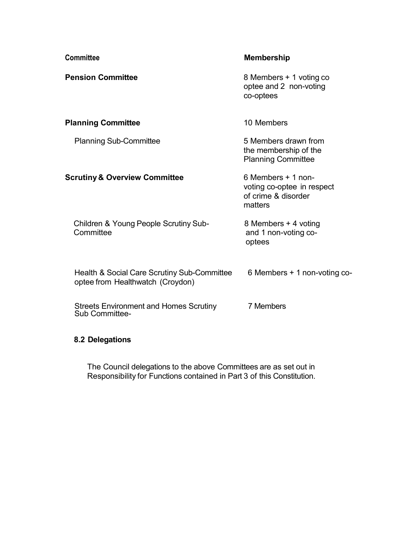| <b>Committee</b>                                                                | <b>Membership</b>                                                                  |  |  |
|---------------------------------------------------------------------------------|------------------------------------------------------------------------------------|--|--|
| <b>Pension Committee</b>                                                        | 8 Members + 1 voting co<br>optee and 2 non-voting<br>co-optees                     |  |  |
| <b>Planning Committee</b>                                                       | 10 Members                                                                         |  |  |
| <b>Planning Sub-Committee</b>                                                   | 5 Members drawn from<br>the membership of the<br><b>Planning Committee</b>         |  |  |
| <b>Scrutiny &amp; Overview Committee</b>                                        | 6 Members + 1 non-<br>voting co-optee in respect<br>of crime & disorder<br>matters |  |  |
| Children & Young People Scrutiny Sub-<br>Committee                              | 8 Members + 4 voting<br>and 1 non-voting co-<br>optees                             |  |  |
| Health & Social Care Scrutiny Sub-Committee<br>optee from Healthwatch (Croydon) | 6 Members $+$ 1 non-voting co-                                                     |  |  |
| <b>Streets Environment and Homes Scrutiny</b><br>Sub Committee-                 | 7 Members                                                                          |  |  |

### **8.2 Delegations**

The Council delegations to the above Committees are as set out in Responsibility for Functions contained in Part 3 of this Constitution.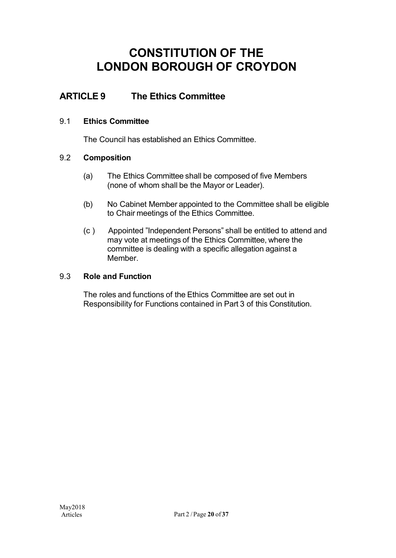### **ARTICLE 9 The Ethics Committee**

### 9.1 **Ethics Committee**

The Council has established an Ethics Committee.

### 9.2 **Composition**

- (a) The Ethics Committee shall be composed of five Members (none of whom shall be the Mayor or Leader).
- (b) No Cabinet Member appointed to the Committee shall be eligible to Chair meetings of the Ethics Committee.
- (c ) Appointed "Independent Persons" shall be entitled to attend and may vote at meetings of the Ethics Committee, where the committee is dealing with a specific allegation against a Member.

### 9.3 **Role and Function**

The roles and functions of the Ethics Committee are set out in Responsibility for Functions contained in Part 3 of this Constitution.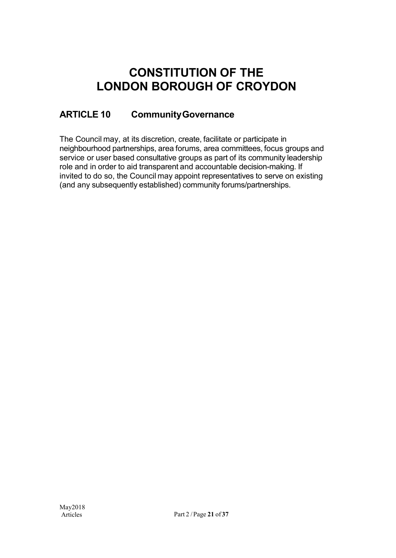## **ARTICLE 10 CommunityGovernance**

The Council may, at its discretion, create, facilitate or participate in neighbourhood partnerships, area forums, area committees, focus groups and service or user based consultative groups as part of its community leadership role and in order to aid transparent and accountable decision-making. If invited to do so, the Council may appoint representatives to serve on existing (and any subsequently established) community forums/partnerships.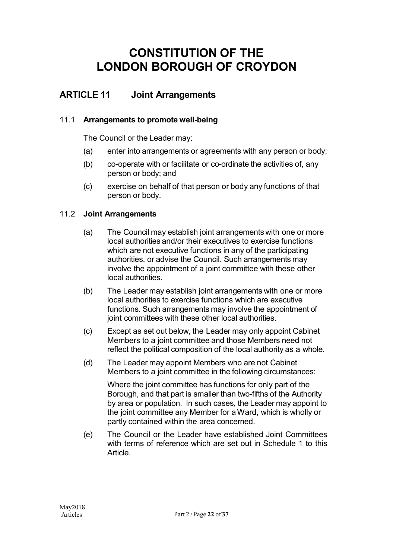### **ARTICLE 11 Joint Arrangements**

### 11.1 **Arrangements to promote well-being**

The Council or the Leader may:

- (a) enter into arrangements or agreements with any person or body;
- (b) co-operate with or facilitate or co-ordinate the activities of, any person or body; and
- (c) exercise on behalf of that person or body any functions of that person or body.

### 11.2 **Joint Arrangements**

- (a) The Council may establish joint arrangements with one or more local authorities and/or their executives to exercise functions which are not executive functions in any of the participating authorities, or advise the Council. Such arrangements may involve the appointment of a joint committee with these other local authorities.
- (b) The Leader may establish joint arrangements with one or more local authorities to exercise functions which are executive functions. Such arrangements may involve the appointment of joint committees with these other local authorities.
- (c) Except as set out below, the Leader may only appoint Cabinet Members to a joint committee and those Members need not reflect the political composition of the local authority as a whole.
- (d) The Leader may appoint Members who are not Cabinet Members to a joint committee in the following circumstances:

Where the joint committee has functions for only part of the Borough, and that part is smaller than two-fifths of the Authority by area or population. In such cases, the Leader may appoint to the joint committee any Member for aWard, which is wholly or partly contained within the area concerned.

(e) The Council or the Leader have established Joint Committees with terms of reference which are set out in Schedule 1 to this **Article**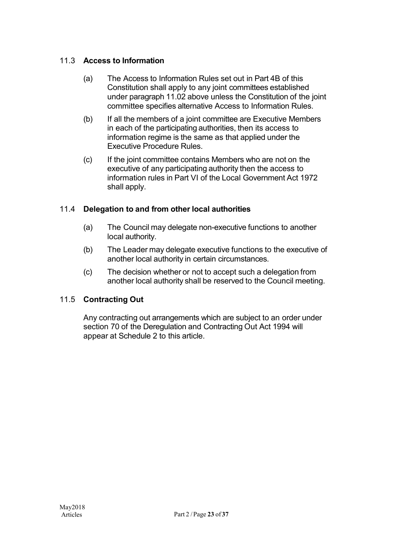### 11.3 **Access to Information**

- (a) The Access to Information Rules set out in Part 4B of this Constitution shall apply to any joint committees established under paragraph 11.02 above unless the Constitution of the joint committee specifies alternative Access to Information Rules.
- (b) If all the members of a joint committee are Executive Members in each of the participating authorities, then its access to information regime is the same as that applied under the Executive Procedure Rules.
- (c) If the joint committee contains Members who are not on the executive of any participating authority then the access to information rules in Part VI of the Local Government Act 1972 shall apply.

### 11.4 **Delegation to and from other local authorities**

- (a) The Council may delegate non-executive functions to another local authority.
- (b) The Leader may delegate executive functions to the executive of another local authority in certain circumstances.
- (c) The decision whether or not to accept such a delegation from another local authority shall be reserved to the Council meeting.

### 11.5 **Contracting Out**

Any contracting out arrangements which are subject to an order under section 70 of the Deregulation and Contracting Out Act 1994 will appear at Schedule 2 to this article.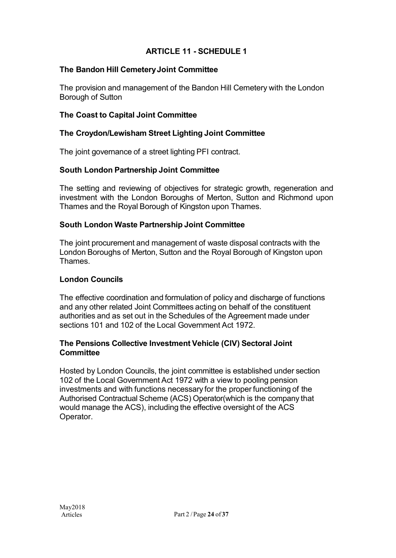### **ARTICLE 11 - SCHEDULE 1**

### **The Bandon Hill CemeteryJoint Committee**

The provision and management of the Bandon Hill Cemetery with the London Borough of Sutton

### **The Coast to Capital Joint Committee**

### **The Croydon/Lewisham Street Lighting Joint Committee**

The joint governance of a street lighting PFI contract.

### **South London Partnership Joint Committee**

The setting and reviewing of objectives for strategic growth, regeneration and investment with the London Boroughs of Merton, Sutton and Richmond upon Thames and the Royal Borough of Kingston upon Thames.

### **South London Waste Partnership Joint Committee**

The joint procurement and management of waste disposal contracts with the London Boroughs of Merton, Sutton and the Royal Borough of Kingston upon Thames.

#### **London Councils**

The effective coordination and formulation of policy and discharge of functions and any other related Joint Committees acting on behalf of the constituent authorities and as set out in the Schedules of the Agreement made under sections 101 and 102 of the Local Government Act 1972.

### **The Pensions Collective Investment Vehicle (CIV) Sectoral Joint Committee**

Hosted by London Councils, the joint committee is established under section 102 of the Local Government Act 1972 with a view to pooling pension investments and with functions necessary for the proper functioning of the Authorised Contractual Scheme (ACS) Operator(which is the company that would manage the ACS), including the effective oversight of the ACS Operator.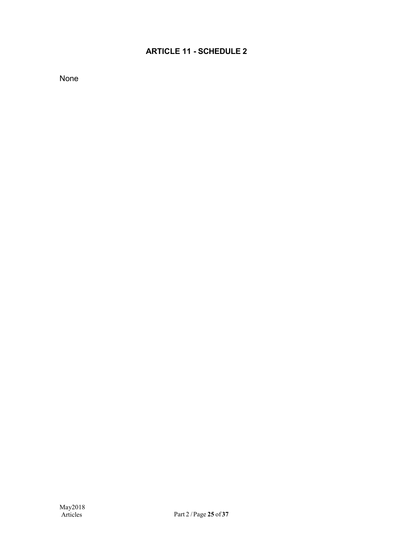### **ARTICLE 11 - SCHEDULE 2**

None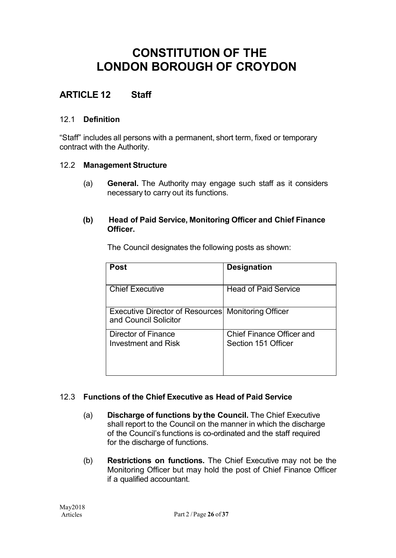### **ARTICLE 12 Staff**

### 12.1 **Definition**

"Staff" includes all persons with a permanent, short term, fixed or temporary contract with the Authority.

### 12.2 **Management Structure**

(a) **General.** The Authority may engage such staff as it considers necessary to carry out its functions.

### **(b) Head of Paid Service, Monitoring Officer and Chief Finance Officer.**

|  | The Council designates the following posts as shown: |  |  |
|--|------------------------------------------------------|--|--|
|  |                                                      |  |  |

| Post                                                                        | <b>Designation</b>                                      |
|-----------------------------------------------------------------------------|---------------------------------------------------------|
| <b>Chief Executive</b>                                                      | <b>Head of Paid Service</b>                             |
| Executive Director of Resources Monitoring Officer<br>and Council Solicitor |                                                         |
| Director of Finance<br>Investment and Risk                                  | <b>Chief Finance Officer and</b><br>Section 151 Officer |

### 12.3 **Functions of the Chief Executive as Head of Paid Service**

- (a) **Discharge of functions by the Council.** The Chief Executive shall report to the Council on the manner in which the discharge of the Council's functions is co-ordinated and the staff required for the discharge of functions.
- (b) **Restrictions on functions.** The Chief Executive may not be the Monitoring Officer but may hold the post of Chief Finance Officer if a qualified accountant.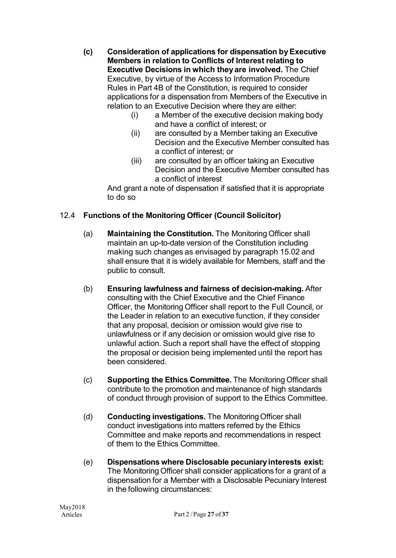- **(c) Consideration of applications for dispensation byExecutive Members in relation to Conflicts of Interest relating to Executive Decisions in which theyare involved.** The Chief Executive, by virtue of the Access to Information Procedure Rules in Part 4B of the Constitution, is required to consider applications for a dispensation from Members of the Executive in relation to an Executive Decision where they are either:
	- (i) a Member of the executive decision making body and have a conflict of interest; or
	- (ii) are consulted by a Member taking an Executive Decision and the Executive Member consulted has a conflict of interest; or
	- (iii) are consulted by an officer taking an Executive Decision and the Executive Member consulted has a conflict of interest

And grant a note of dispensation if satisfied that it is appropriate to do so

### 12.4 **Functions of the Monitoring Officer (Council Solicitor)**

- (a) **Maintaining the Constitution.** The Monitoring Officer shall maintain an up-to-date version of the Constitution including making such changes as envisaged by paragraph 15.02 and shall ensure that it is widely available for Members, staff and the public to consult.
- (b) **Ensuring lawfulness and fairness of decision-making.** After consulting with the Chief Executive and the Chief Finance Officer, the Monitoring Officer shall report to the Full Council, or the Leader in relation to an executive function, if they consider that any proposal, decision or omission would give rise to unlawfulness or if any decision or omission would give rise to unlawful action. Such a report shall have the effect of stopping the proposal or decision being implemented until the report has been considered.
- (c) **Supporting the Ethics Committee.** The Monitoring Officer shall contribute to the promotion and maintenance of high standards of conduct through provision of support to the Ethics Committee.
- (d) **Conducting investigations.** The MonitoringOfficer shall conduct investigations into matters referred by the Ethics Committee and make reports and recommendations in respect of them to the Ethics Committee.
- (e) **Dispensations where Disclosable pecuniary interests exist:** The Monitoring Officer shall consider applications for a grant of a dispensation for a Member with a Disclosable Pecuniary Interest in the following circumstances: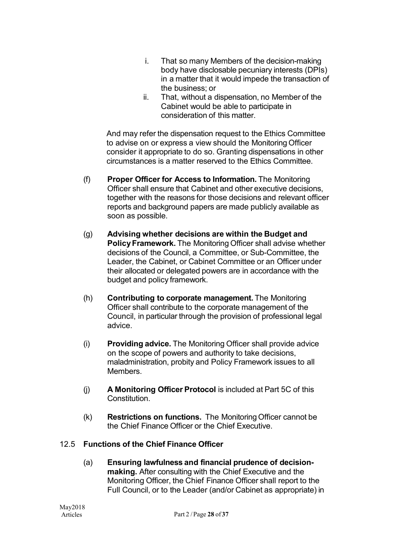- i. That so many Members of the decision-making body have disclosable pecuniary interests (DPIs) in a matter that it would impede the transaction of the business; or
- ii. That, without a dispensation, no Member of the Cabinet would be able to participate in consideration of this matter.

And may refer the dispensation request to the Ethics Committee to advise on or express a view should the Monitoring Officer consider it appropriate to do so. Granting dispensations in other circumstances is a matter reserved to the Ethics Committee.

- (f) **Proper Officer for Access to Information.** The Monitoring Officer shall ensure that Cabinet and other executive decisions, together with the reasons for those decisions and relevant officer reports and background papers are made publicly available as soon as possible.
- (g) **Advising whether decisions are within the Budget and Policy Framework.** The Monitoring Officer shall advise whether decisions of the Council, a Committee, or Sub-Committee, the Leader, the Cabinet, or Cabinet Committee or an Officer under their allocated or delegated powers are in accordance with the budget and policy framework.
- (h) **Contributing to corporate management.** The Monitoring Officer shall contribute to the corporate management of the Council, in particular through the provision of professional legal advice.
- (i) **Providing advice.** The Monitoring Officer shall provide advice on the scope of powers and authority to take decisions, maladministration, probity and Policy Framework issues to all Members.
- (j) **A Monitoring Officer Protocol** is included at Part 5C of this **Constitution**
- (k) **Restrictions on functions.** The MonitoringOfficer cannot be the Chief Finance Officer or the Chief Executive.

### 12.5 **Functions of the Chief Finance Officer**

(a) **Ensuring lawfulness and financial prudence of decisionmaking.** After consulting with the Chief Executive and the Monitoring Officer, the Chief Finance Officer shall report to the Full Council, or to the Leader (and/or Cabinet as appropriate) in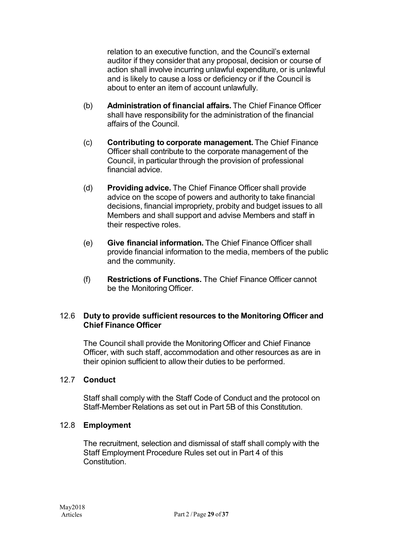relation to an executive function, and the Council's external auditor if they consider that any proposal, decision or course of action shall involve incurring unlawful expenditure, or is unlawful and is likely to cause a loss or deficiency or if the Council is about to enter an item of account unlawfully.

- (b) **Administration of financial affairs.** The Chief Finance Officer shall have responsibility for the administration of the financial affairs of the Council.
- (c) **Contributing to corporate management.** The Chief Finance Officer shall contribute to the corporate management of the Council, in particular through the provision of professional financial advice.
- (d) **Providing advice.** The Chief Finance Officer shall provide advice on the scope of powers and authority to take financial decisions, financial impropriety, probity and budget issues to all Members and shall support and advise Members and staff in their respective roles.
- (e) **Give financial information.** The Chief Finance Officer shall provide financial information to the media, members of the public and the community.
- (f) **Restrictions of Functions.** The Chief Finance Officer cannot be the Monitoring Officer.

### 12.6 **Duty to provide sufficient resources to the Monitoring Officer and Chief Finance Officer**

The Council shall provide the Monitoring Officer and Chief Finance Officer, with such staff, accommodation and other resources as are in their opinion sufficient to allow their duties to be performed.

### 12.7 **Conduct**

Staff shall comply with the Staff Code of Conduct and the protocol on Staff-Member Relations as set out in Part 5B of this Constitution.

#### 12.8 **Employment**

The recruitment, selection and dismissal of staff shall comply with the Staff Employment Procedure Rules set out in Part 4 of this **Constitution**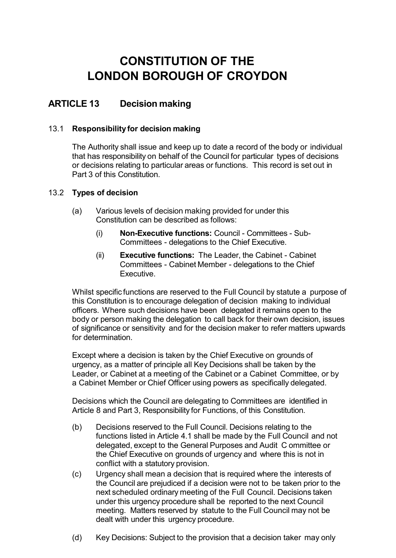### **ARTICLE 13 Decision making**

#### 13.1 **Responsibility for decision making**

The Authority shall issue and keep up to date a record of the body or individual that has responsibility on behalf of the Council for particular types of decisions or decisions relating to particular areas or functions. This record is set out in Part 3 of this Constitution.

#### 13.2 **Types of decision**

- (a) Various levels of decision making provided for under this Constitution can be described as follows:
	- (i) **Non-Executive functions:** Council Committees Sub-Committees - delegations to the Chief Executive.
	- (ii) **Executive functions:** The Leader, the Cabinet Cabinet Committees - Cabinet Member - delegations to the Chief Executive.

Whilst specific functions are reserved to the Full Council by statute a purpose of this Constitution is to encourage delegation of decision making to individual officers. Where such decisions have been delegated it remains open to the body or person making the delegation to call back for their own decision, issues of significance or sensitivity and for the decision maker to refer matters upwards for determination.

Except where a decision is taken by the Chief Executive on grounds of urgency, as a matter of principle all Key Decisions shall be taken by the Leader, or Cabinet at a meeting of the Cabinet or a Cabinet Committee, or by a Cabinet Member or Chief Officer using powers as specifically delegated.

Decisions which the Council are delegating to Committees are identified in Article 8 and Part 3, Responsibility for Functions, of this Constitution.

- (b) Decisions reserved to the Full Council. Decisions relating to the functions listed in Article 4.1 shall be made by the Full Council and not delegated, except to the General Purposes and Audit C ommittee or the Chief Executive on grounds of urgency and where this is not in conflict with a statutory provision.
- (c) Urgency shall mean a decision that is required where the interests of the Council are prejudiced if a decision were not to be taken prior to the next scheduled ordinary meeting of the Full Council. Decisions taken under this urgency procedure shall be reported to the next Council meeting. Matters reserved by statute to the Full Council may not be dealt with under this urgency procedure.
- (d) Key Decisions: Subject to the provision that a decision taker may only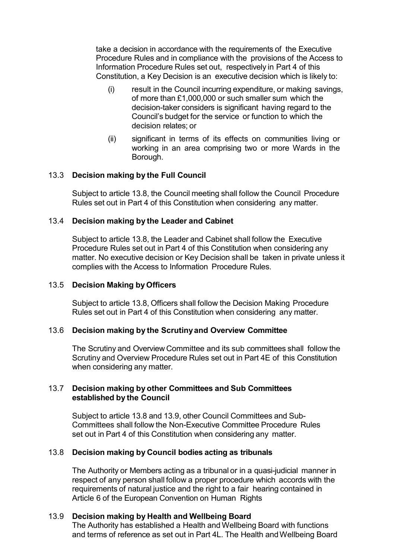take a decision in accordance with the requirements of the Executive Procedure Rules and in compliance with the provisions of the Access to Information Procedure Rules set out, respectively in Part 4 of this Constitution, a Key Decision is an executive decision which is likely to:

- (i) result in the Council incurring expenditure, or making savings, of more than £1,000,000 or such smaller sum which the decision-taker considers is significant having regard to the Council's budget for the service or function to which the decision relates; or
- (ii) significant in terms of its effects on communities living or working in an area comprising two or more Wards in the Borough.

#### 13.3 **Decision making by the Full Council**

Subject to article 13.8, the Council meeting shall follow the Council Procedure Rules set out in Part 4 of this Constitution when considering any matter.

#### 13.4 **Decision making by the Leader and Cabinet**

Subject to article 13.8, the Leader and Cabinet shall follow the Executive Procedure Rules set out in Part 4 of this Constitution when considering any matter. No executive decision or Key Decision shall be taken in private unless it complies with the Access to Information Procedure Rules.

#### 13.5 **Decision Making by Officers**

Subject to article 13.8, Officers shall follow the Decision Making Procedure Rules set out in Part 4 of this Constitution when considering any matter.

#### 13.6 **Decision making by the Scrutinyand Overview Committee**

The Scrutiny and Overview Committee and its sub committees shall follow the Scrutiny and Overview Procedure Rules set out in Part 4E of this Constitution when considering any matter.

#### 13.7 **Decision making by other Committees and Sub Committees established by the Council**

Subject to article 13.8 and 13.9, other Council Committees and Sub-Committees shall follow the Non-Executive Committee Procedure Rules set out in Part 4 of this Constitution when considering any matter.

#### 13.8 **Decision making by Council bodies acting as tribunals**

The Authority or Members acting as a tribunal or in a quasi-judicial manner in respect of any person shall follow a proper procedure which accords with the requirements of natural justice and the right to a fair hearing contained in Article 6 of the European Convention on Human Rights

#### 13.9 **Decision making by Health and Wellbeing Board**

The Authority has established a Health and Wellbeing Board with functions and terms of reference as set out in Part 4L. The Health and Wellbeing Board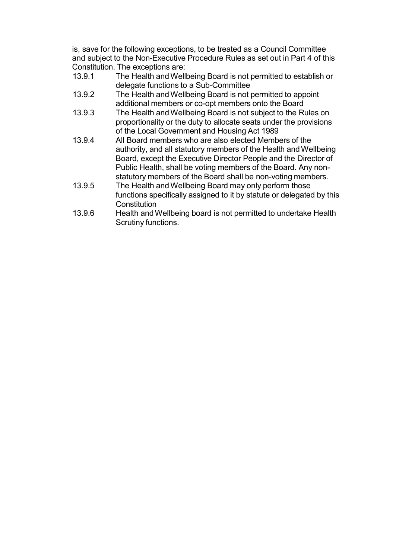is, save for the following exceptions, to be treated as a Council Committee and subject to the Non-Executive Procedure Rules as set out in Part 4 of this Constitution. The exceptions are:

- 13.9.1 The Health and Wellbeing Board is not permitted to establish or delegate functions to a Sub-Committee
- 13.9.2 The Health and Wellbeing Board is not permitted to appoint additional members or co-opt members onto the Board
- 13.9.3 The Health andWellbeing Board is not subject to the Rules on proportionality or the duty to allocate seats under the provisions of the Local Government and Housing Act 1989
- 13.9.4 All Board members who are also elected Members of the authority, and all statutory members of the Health and Wellbeing Board, except the Executive Director People and the Director of Public Health, shall be voting members of the Board. Any nonstatutory members of the Board shall be non-voting members.
- 13.9.5 The Health andWellbeing Board may only perform those functions specifically assigned to it by statute or delegated by this **Constitution**
- 13.9.6 Health and Wellbeing board is not permitted to undertake Health Scrutiny functions.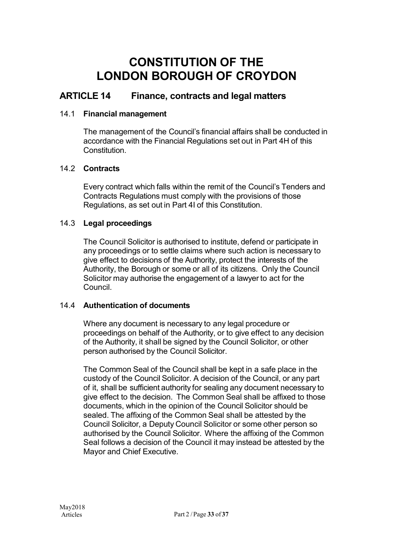### **ARTICLE 14 Finance, contracts and legal matters**

### 14.1 **Financial management**

The management of the Council's financial affairs shall be conducted in accordance with the Financial Regulations set out in Part 4H of this Constitution.

### 14.2 **Contracts**

Every contract which falls within the remit of the Council's Tenders and Contracts Regulations must comply with the provisions of those Regulations, as set out in Part 4I of this Constitution.

### 14.3 **Legal proceedings**

The Council Solicitor is authorised to institute, defend or participate in any proceedings or to settle claims where such action is necessary to give effect to decisions of the Authority, protect the interests of the Authority, the Borough or some or all of its citizens. Only the Council Solicitor may authorise the engagement of a lawyer to act for the Council.

### 14.4 **Authentication of documents**

Where any document is necessary to any legal procedure or proceedings on behalf of the Authority, or to give effect to any decision of the Authority, it shall be signed by the Council Solicitor, or other person authorised by the Council Solicitor.

The Common Seal of the Council shall be kept in a safe place in the custody of the Council Solicitor. A decision of the Council, or any part of it, shall be sufficient authority for sealing any document necessary to give effect to the decision. The Common Seal shall be affixed to those documents, which in the opinion of the Council Solicitor should be sealed. The affixing of the Common Seal shall be attested by the Council Solicitor, a Deputy Council Solicitor or some other person so authorised by the Council Solicitor. Where the affixing of the Common Seal follows a decision of the Council it may instead be attested by the Mayor and Chief Executive.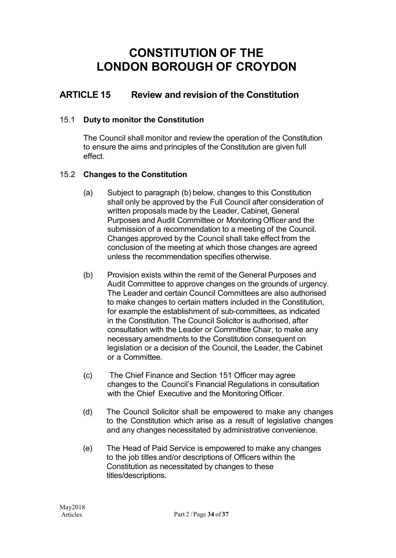### **ARTICLE 15 Review and revision of the Constitution**

### 15.1 **Duty to monitor the Constitution**

The Council shall monitor and review the operation of the Constitution to ensure the aims and principles of the Constitution are given full effect.

### 15.2 **Changes to the Constitution**

- (a) Subject to paragraph (b) below, changes to this Constitution shall only be approved by the Full Council after consideration of written proposals made by the Leader, Cabinet, General Purposes and Audit Committee or Monitoring Officer and the submission of a recommendation to a meeting of the Council. Changes approved by the Council shall take effect from the conclusion of the meeting at which those changes are agreed unless the recommendation specifies otherwise.
- (b) Provision exists within the remit of the General Purposes and Audit Committee to approve changes on the grounds of urgency. The Leader and certain Council Committees are also authorised to make changes to certain matters included in the Constitution, for example the establishment of sub-committees, as indicated in the Constitution. The Council Solicitor is authorised, after consultation with the Leader or Committee Chair, to make any necessary amendments to the Constitution consequent on legislation or a decision of the Council, the Leader, the Cabinet or a Committee.
- (c) The Chief Finance and Section 151 Officer may agree changes to the Council's Financial Regulations in consultation with the Chief Executive and the Monitoring Officer.
- (d) The Council Solicitor shall be empowered to make any changes to the Constitution which arise as a result of legislative changes and any changes necessitated by administrative convenience.
- (e) The Head of Paid Service is empowered to make any changes to the job titles and/or descriptions of Officers within the Constitution as necessitated by changes to these titles/descriptions.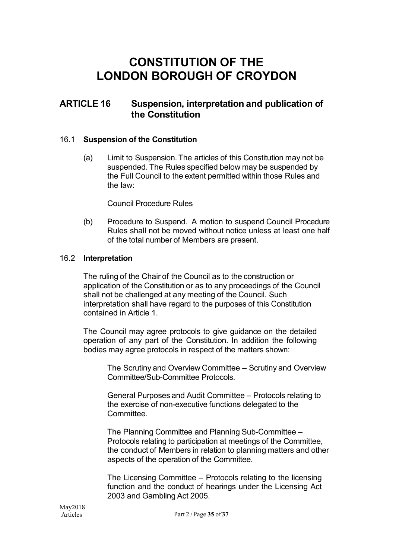### **ARTICLE 16 Suspension, interpretation and publication of the Constitution**

#### 16.1 **Suspension of the Constitution**

(a) Limit to Suspension. The articles of this Constitution may not be suspended. The Rules specified below may be suspended by the Full Council to the extent permitted within those Rules and the law:

Council Procedure Rules

(b) Procedure to Suspend. A motion to suspend Council Procedure Rules shall not be moved without notice unless at least one half of the total number of Members are present.

#### 16.2 **Interpretation**

The ruling of the Chair of the Council as to the construction or application of the Constitution or as to any proceedings of the Council shall not be challenged at any meeting of the Council. Such interpretation shall have regard to the purposes of this Constitution contained in Article 1.

The Council may agree protocols to give guidance on the detailed operation of any part of the Constitution. In addition the following bodies may agree protocols in respect of the matters shown:

> The Scrutiny and Overview Committee – Scrutiny and Overview Committee/Sub-Committee Protocols.

General Purposes and Audit Committee – Protocols relating to the exercise of non-executive functions delegated to the Committee.

The Planning Committee and Planning Sub-Committee – Protocols relating to participation at meetings of the Committee, the conduct of Members in relation to planning matters and other aspects of the operation of the Committee.

The Licensing Committee – Protocols relating to the licensing function and the conduct of hearings under the Licensing Act 2003 and Gambling Act 2005.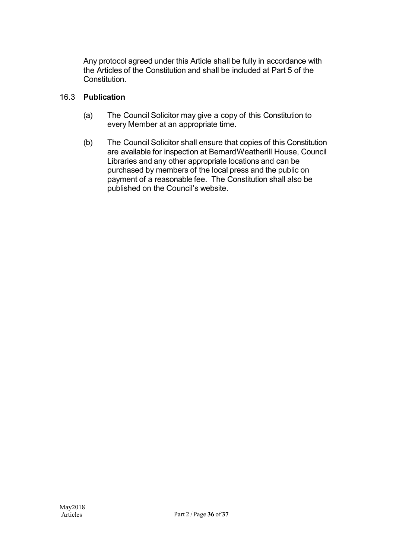Any protocol agreed under this Article shall be fully in accordance with the Articles of the Constitution and shall be included at Part 5 of the Constitution.

### 16.3 **Publication**

- (a) The Council Solicitor may give a copy of this Constitution to every Member at an appropriate time.
- (b) The Council Solicitor shall ensure that copies of this Constitution are available for inspection at BernardWeatherill House, Council Libraries and any other appropriate locations and can be purchased by members of the local press and the public on payment of a reasonable fee. The Constitution shall also be published on the Council's website.